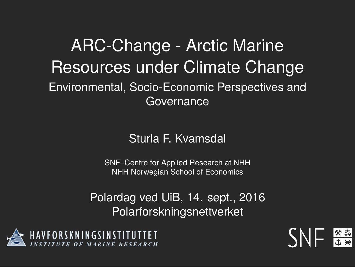# ARC-Change - Arctic Marine Resources under Climate Change

Environmental, Socio-Economic Perspectives and **Governance** 

Sturla F. Kvamsdal

SNF–Centre for Applied Research at NHH NHH Norwegian School of Economics

Polardag ved UiB, 14. sept., 2016 Polarforskningsnettverket



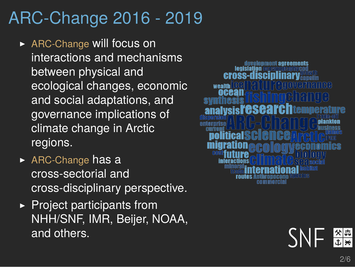### ARC-Change 2016 - 2019

- ▶ ARC-Change will focus on interactions and mechanisms between physical and ecological changes, economic and social adaptations, and governance implications of climate change in Arctic regions.
- $\triangleright$  ARC-Change has a cross-sectorial and cross-disciplinary perspective.
- $\blacktriangleright$  Project participants from NHH/SNF, IMR, Beijer, NOAA, and others.



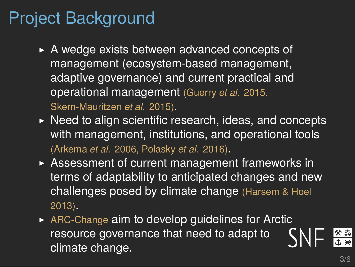#### Project Background

- $\triangleright$  A wedge exists between advanced concepts of management (ecosystem-based management, adaptive governance) and current practical and operational management (Guerry *et al.* 2015, Skern-Mauritzen *et al.* 2015).
- $\triangleright$  Need to align scientific research, ideas, and concepts with management, institutions, and operational tools (Arkema *et al.* 2006, Polasky *et al.* 2016).
- $\triangleright$  Assessment of current management frameworks in terms of adaptability to anticipated changes and new challenges posed by climate change (Harsem & Hoel 2013).
- $\triangleright$  ARC-Change aim to develop guidelines for Arctic resource governance that need to adapt to climate change.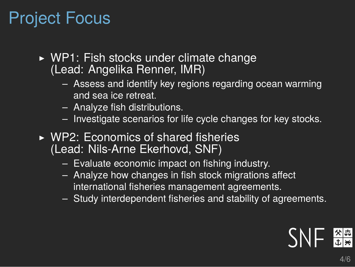# Project Focus

- $\triangleright$  WP1: Fish stocks under climate change (Lead: Angelika Renner, IMR)
	- Assess and identify key regions regarding ocean warming and sea ice retreat.
	- Analyze fish distributions.
	- Investigate scenarios for life cycle changes for key stocks.
- $\triangleright$  WP2: Economics of shared fisheries (Lead: Nils-Arne Ekerhovd, SNF)
	- Evaluate economic impact on fishing industry.
	- Analyze how changes in fish stock migrations affect international fisheries management agreements.
	- Study interdependent fisheries and stability of agreements.

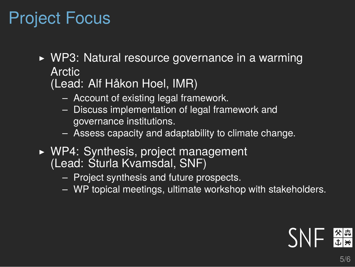# Project Focus

- $\triangleright$  WP3: Natural resource governance in a warming Arctic
	- (Lead: Alf Håkon Hoel, IMR)
		- Account of existing legal framework.
		- Discuss implementation of legal framework and governance institutions.
		- Assess capacity and adaptability to climate change.
- $\triangleright$  WP4: Synthesis, project management (Lead: Sturla Kvamsdal, SNF)
	- Project synthesis and future prospects.
	- WP topical meetings, ultimate workshop with stakeholders.